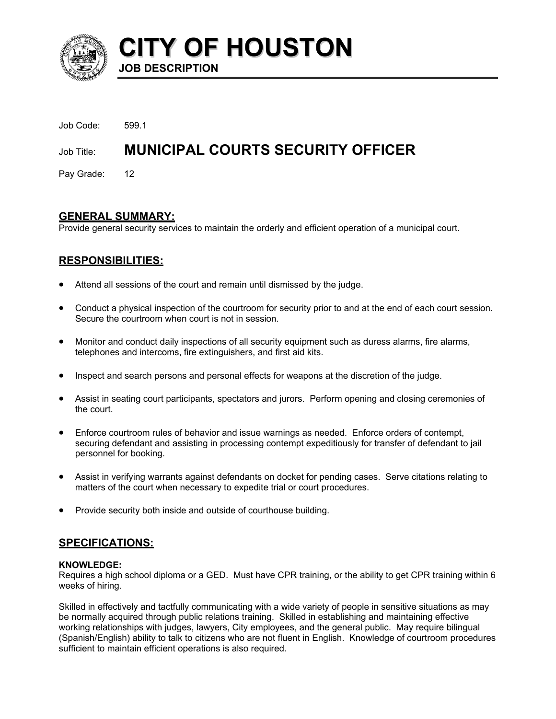

**CITY OF HOUSTON JOB DESCRIPTION** 

| Job Code:     | 5991                                     |
|---------------|------------------------------------------|
| Job Title:    | <b>MUNICIPAL COURTS SECURITY OFFICER</b> |
| Pay Grade: 12 |                                          |

# **GENERAL SUMMARY:**

Provide general security services to maintain the orderly and efficient operation of a municipal court.

# **RESPONSIBILITIES:**

- Attend all sessions of the court and remain until dismissed by the judge.
- Conduct a physical inspection of the courtroom for security prior to and at the end of each court session. Secure the courtroom when court is not in session.
- Monitor and conduct daily inspections of all security equipment such as duress alarms, fire alarms, telephones and intercoms, fire extinguishers, and first aid kits.
- Inspect and search persons and personal effects for weapons at the discretion of the judge.
- Assist in seating court participants, spectators and jurors. Perform opening and closing ceremonies of the court.
- Enforce courtroom rules of behavior and issue warnings as needed. Enforce orders of contempt, securing defendant and assisting in processing contempt expeditiously for transfer of defendant to jail personnel for booking.
- Assist in verifying warrants against defendants on docket for pending cases. Serve citations relating to matters of the court when necessary to expedite trial or court procedures.
- Provide security both inside and outside of courthouse building.

# **SPECIFICATIONS:**

## **KNOWLEDGE:**

Requires a high school diploma or a GED. Must have CPR training, or the ability to get CPR training within 6 weeks of hiring.

Skilled in effectively and tactfully communicating with a wide variety of people in sensitive situations as may be normally acquired through public relations training. Skilled in establishing and maintaining effective working relationships with judges, lawyers, City employees, and the general public. May require bilingual (Spanish/English) ability to talk to citizens who are not fluent in English. Knowledge of courtroom procedures sufficient to maintain efficient operations is also required.